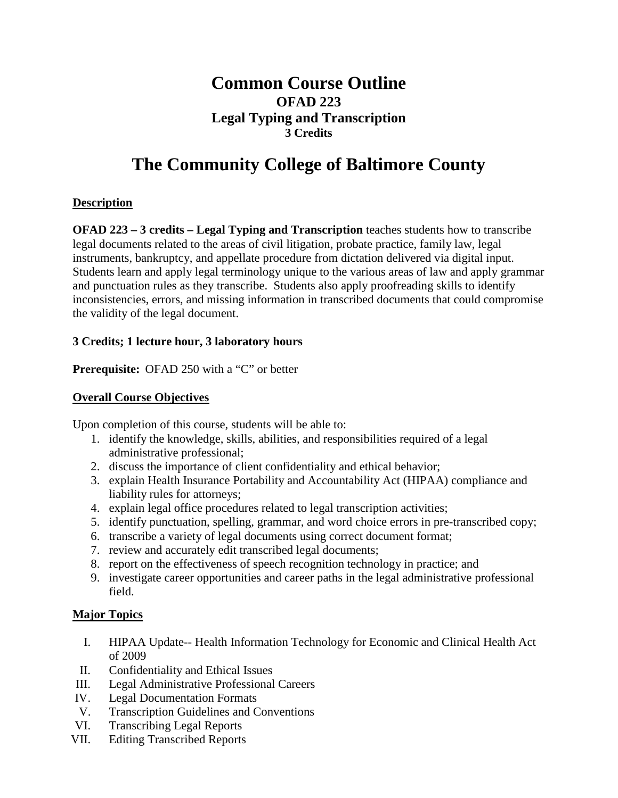# **Common Course Outline OFAD 223 Legal Typing and Transcription 3 Credits**

# **The Community College of Baltimore County**

# **Description**

**OFAD 223 – 3 credits – Legal Typing and Transcription** teaches students how to transcribe legal documents related to the areas of civil litigation, probate practice, family law, legal instruments, bankruptcy, and appellate procedure from dictation delivered via digital input. Students learn and apply legal terminology unique to the various areas of law and apply grammar and punctuation rules as they transcribe. Students also apply proofreading skills to identify inconsistencies, errors, and missing information in transcribed documents that could compromise the validity of the legal document.

## **3 Credits; 1 lecture hour, 3 laboratory hours**

**Prerequisite:** OFAD 250 with a "C" or better

# **Overall Course Objectives**

Upon completion of this course, students will be able to:

- 1. identify the knowledge, skills, abilities, and responsibilities required of a legal administrative professional;
- 2. discuss the importance of client confidentiality and ethical behavior;
- 3. explain Health Insurance Portability and Accountability Act (HIPAA) compliance and liability rules for attorneys;
- 4. explain legal office procedures related to legal transcription activities;
- 5. identify punctuation, spelling, grammar, and word choice errors in pre-transcribed copy;
- 6. transcribe a variety of legal documents using correct document format;
- 7. review and accurately edit transcribed legal documents;
- 8. report on the effectiveness of speech recognition technology in practice; and
- 9. investigate career opportunities and career paths in the legal administrative professional field.

## **Major Topics**

- I. HIPAA Update-- Health Information Technology for Economic and Clinical Health Act of 2009
- II. Confidentiality and Ethical Issues
- III. Legal Administrative Professional Careers
- IV. Legal Documentation Formats
- V. Transcription Guidelines and Conventions
- VI. Transcribing Legal Reports
- VII. Editing Transcribed Reports